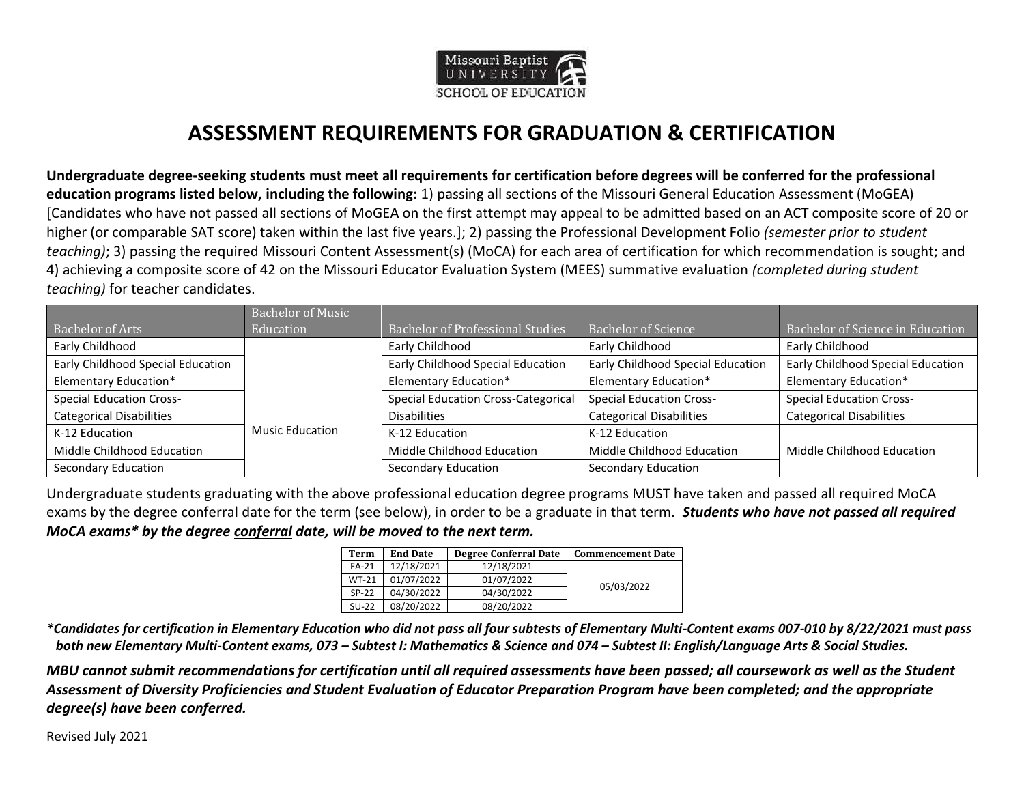

## **ASSESSMENT REQUIREMENTS FOR GRADUATION & CERTIFICATION**

**Undergraduate degree-seeking students must meet all requirements for certification before degrees will be conferred for the professional education programs listed below, including the following:** 1) passing all sections of the Missouri General Education Assessment (MoGEA) [Candidates who have not passed all sections of MoGEA on the first attempt may appeal to be admitted based on an ACT composite score of 20 or higher (or comparable SAT score) taken within the last five years.]; 2) passing the Professional Development Folio *(semester prior to student teaching)*; 3) passing the required Missouri Content Assessment(s) (MoCA) for each area of certification for which recommendation is sought; and 4) achieving a composite score of 42 on the Missouri Educator Evaluation System (MEES) summative evaluation *(completed during student teaching)* for teacher candidates.

|                                   | <b>Bachelor of Music</b> |                                            |                                   |                                   |
|-----------------------------------|--------------------------|--------------------------------------------|-----------------------------------|-----------------------------------|
| Bachelor of Arts                  | Education                | <b>Bachelor of Professional Studies</b>    | <b>Bachelor of Science</b>        | Bachelor of Science in Education  |
| Early Childhood                   |                          | Early Childhood                            | Early Childhood                   | Early Childhood                   |
| Early Childhood Special Education |                          | Early Childhood Special Education          | Early Childhood Special Education | Early Childhood Special Education |
| Elementary Education*             |                          | <b>Elementary Education*</b>               | <b>Elementary Education*</b>      | Elementary Education*             |
| <b>Special Education Cross-</b>   |                          | <b>Special Education Cross-Categorical</b> | <b>Special Education Cross-</b>   | <b>Special Education Cross-</b>   |
| <b>Categorical Disabilities</b>   |                          | <b>Disabilities</b>                        | <b>Categorical Disabilities</b>   | <b>Categorical Disabilities</b>   |
| K-12 Education                    | <b>Music Education</b>   | K-12 Education                             | K-12 Education                    |                                   |
| Middle Childhood Education        |                          | Middle Childhood Education                 | Middle Childhood Education        | Middle Childhood Education        |
| <b>Secondary Education</b>        |                          | <b>Secondary Education</b>                 | Secondary Education               |                                   |

Undergraduate students graduating with the above professional education degree programs MUST have taken and passed all required MoCA exams by the degree conferral date for the term (see below), in order to be a graduate in that term. *Students who have not passed all required MoCA exams\* by the degree conferral date, will be moved to the next term.*

| Term         | <b>End Date</b> | <b>Degree Conferral Date</b> | <b>Commencement Date</b> |
|--------------|-----------------|------------------------------|--------------------------|
| FA-21        | 12/18/2021      | 12/18/2021                   |                          |
| <b>WT-21</b> | 01/07/2022      | 01/07/2022                   |                          |
| $SP-22$      | 04/30/2022      | 04/30/2022                   | 05/03/2022               |
| $SU-22$      | 08/20/2022      | 08/20/2022                   |                          |

*\*Candidates for certification in Elementary Education who did not pass all four subtests of Elementary Multi-Content exams 007-010 by 8/22/2021 must pass both new Elementary Multi-Content exams, 073 – Subtest I: Mathematics & Science and 074 – Subtest II: English/Language Arts & Social Studies.*

*MBU cannot submit recommendations for certification until all required assessments have been passed; all coursework as well as the Student Assessment of Diversity Proficiencies and Student Evaluation of Educator Preparation Program have been completed; and the appropriate degree(s) have been conferred.*

Revised July 2021